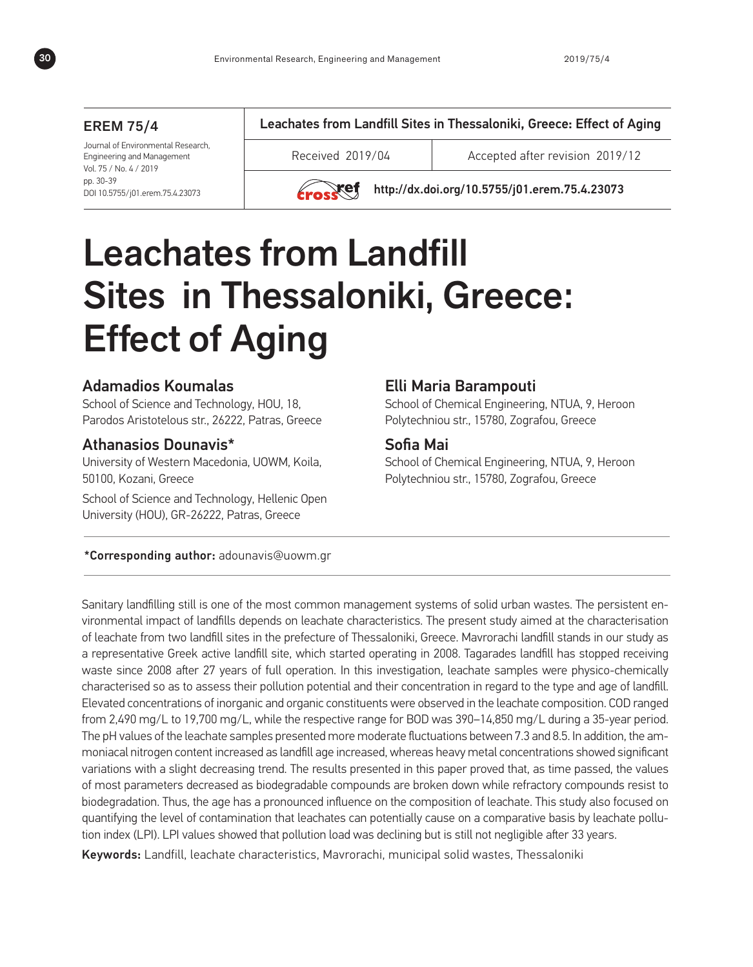#### EREM 75/4

Journal of Environmental Research, Engineering and Management Vol. 75 / No. 4 / 2019 pp. 30-39 DOI 10.5755/j01.erem.75.4.23073

Leachates from Landfill Sites in Thessaloniki, Greece: Effect of Aging

Received 2019/04 Accepted after revision 2019/12

 $\chi$ ef http://dx.doi.org/10.5755/i01.erem.75.4.23073

# Leachates from Landfill Sites in Thessaloniki, Greece: Effect of Aging

# Adamadios Koumalas

School of Science and Technology, HOU, 18, Parodos Aristotelous str., 26222, Patras, Greece

#### Athanasios Dounavis\*

University of Western Macedonia, UOWM, Koila, 50100, Kozani, Greece

School of Science and Technology, Hellenic Open University (HOU), GR-26222, Patras, Greece

#### Elli Maria Barampouti

School of Chemical Engineering, NTUA, 9, Heroon Polytechniou str., 15780, Zografou, Greece

# Sofia Mai

School of Chemical Engineering, NTUA, 9, Heroon Polytechniou str., 15780, Zografou, Greece

\*Corresponding author: adounavis@uowm.gr

Sanitary landfilling still is one of the most common management systems of solid urban wastes. The persistent environmental impact of landfills depends on leachate characteristics. The present study aimed at the characterisation of leachate from two landfill sites in the prefecture of Thessaloniki, Greece. Mavrorachi landfill stands in our study as a representative Greek active landfill site, which started operating in 2008. Tagarades landfill has stopped receiving waste since 2008 after 27 years of full operation. In this investigation, leachate samples were physico-chemically characterised so as to assess their pollution potential and their concentration in regard to the type and age of landfill. Elevated concentrations of inorganic and organic constituents were observed in the leachate composition. COD ranged from 2,490 mg/L to 19,700 mg/L, while the respective range for BOD was 390–14,850 mg/L during a 35-year period. The pH values of the leachate samples presented more moderate fluctuations between 7.3 and 8.5. In addition, the ammoniacal nitrogen content increased as landfill age increased, whereas heavy metal concentrations showed significant variations with a slight decreasing trend. The results presented in this paper proved that, as time passed, the values of most parameters decreased as biodegradable compounds are broken down while refractory compounds resist to biodegradation. Thus, the age has a pronounced influence on the composition of leachate. This study also focused on quantifying the level of contamination that leachates can potentially cause on a comparative basis by leachate pollution index (LPI). LPI values showed that pollution load was declining but is still not negligible after 33 years.

Keywords: Landfill, leachate characteristics, Mavrorachi, municipal solid wastes, Thessaloniki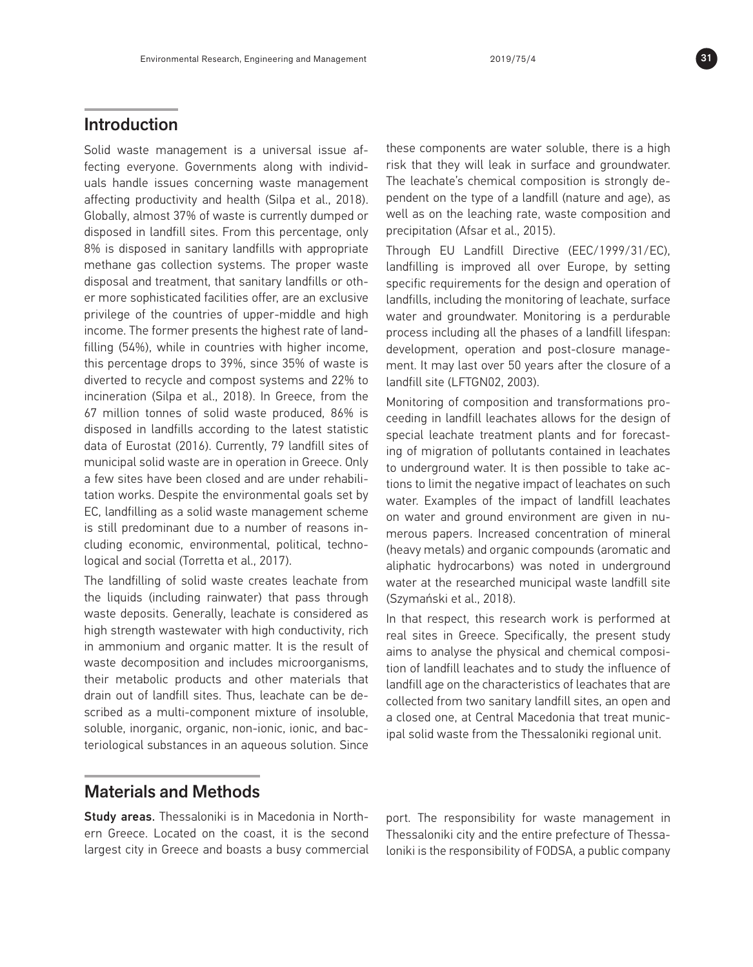# Introduction

Solid waste management is a universal issue affecting everyone. Governments along with individuals handle issues concerning waste management affecting productivity and health (Silpa et al., 2018). Globally, almost 37% of waste is currently dumped or disposed in landfill sites. From this percentage, only 8% is disposed in sanitary landfills with appropriate methane gas collection systems. The proper waste disposal and treatment, that sanitary landfills or other more sophisticated facilities offer, are an exclusive privilege of the countries of upper-middle and high income. The former presents the highest rate of landfilling (54%), while in countries with higher income, this percentage drops to 39%, since 35% of waste is diverted to recycle and compost systems and 22% to incineration (Silpa et al., 2018). In Greece, from the 67 million tonnes of solid waste produced, 86% is disposed in landfills according to the latest statistic data of Eurostat (2016). Currently, 79 landfill sites of municipal solid waste are in operation in Greece. Only a few sites have been closed and are under rehabilitation works. Despite the environmental goals set by EC, landfilling as a solid waste management scheme is still predominant due to a number of reasons including economic, environmental, political, technological and social (Torretta et al., 2017).

The landfilling of solid waste creates leachate from the liquids (including rainwater) that pass through waste deposits. Generally, leachate is considered as high strength wastewater with high conductivity, rich in ammonium and organic matter. It is the result of waste decomposition and includes microorganisms, their metabolic products and other materials that drain out of landfill sites. Thus, leachate can be described as a multi-component mixture of insoluble, soluble, inorganic, organic, non-ionic, ionic, and bacteriological substances in an aqueous solution. Since

these components are water soluble, there is a high risk that they will leak in surface and groundwater. The leachate's chemical composition is strongly dependent on the type of a landfill (nature and age), as well as on the leaching rate, waste composition and precipitation (Afsar et al., 2015).

Through EU Landfill Directive (EEC/1999/31/EC), landfilling is improved all over Europe, by setting specific requirements for the design and operation of landfills, including the monitoring of leachate, surface water and groundwater. Monitoring is a perdurable process including all the phases of a landfill lifespan: development, operation and post-closure management. It may last over 50 years after the closure of a landfill site (LFTGN02, 2003).

Monitoring of composition and transformations proceeding in landfill leachates allows for the design of special leachate treatment plants and for forecasting of migration of pollutants contained in leachates to underground water. It is then possible to take actions to limit the negative impact of leachates on such water. Examples of the impact of landfill leachates on water and ground environment are given in numerous papers. Increased concentration of mineral (heavy metals) and organic compounds (aromatic and aliphatic hydrocarbons) was noted in underground water at the researched municipal waste landfill site (Szymański et al., 2018).

In that respect, this research work is performed at real sites in Greece. Specifically, the present study aims to analyse the physical and chemical composition of landfill leachates and to study the influence of landfill age on the characteristics of leachates that are collected from two sanitary landfill sites, an open and a closed one, at Central Macedonia that treat municipal solid waste from the Thessaloniki regional unit.

# Materials and Methods

Study areas. Thessaloniki is in Macedonia in Northern Greece. Located on the coast, it is the second largest city in Greece and boasts a busy commercial port. The responsibility for waste management in Thessaloniki city and the entire prefecture of Thessaloniki is the responsibility of FODSA, a public company

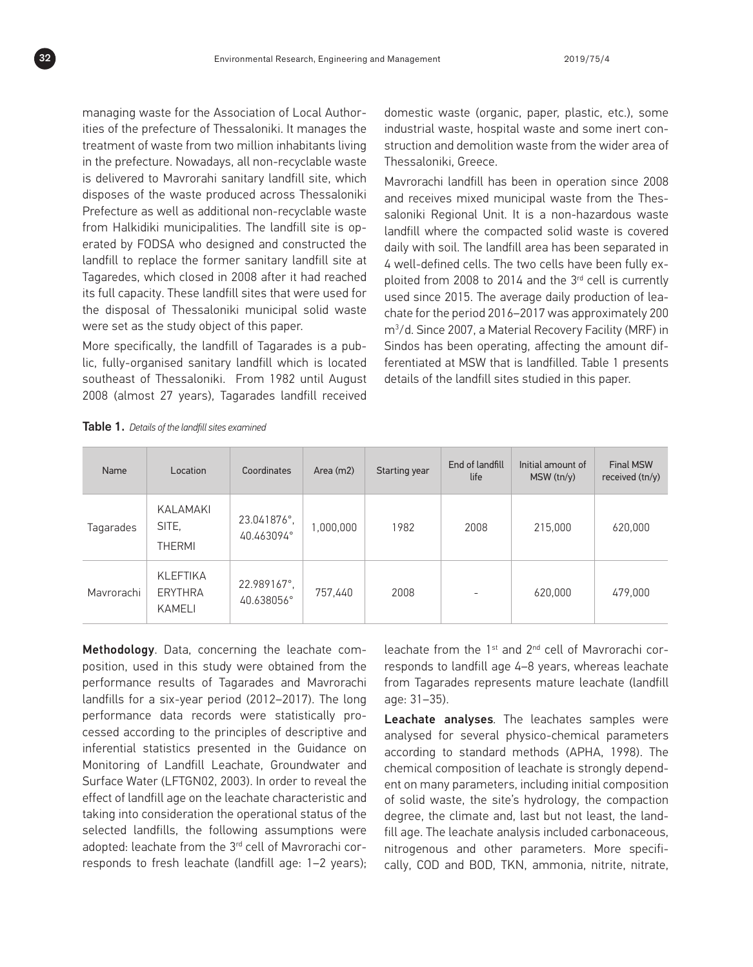managing waste for the Association of Local Authorities of the prefecture of Thessaloniki. It manages the treatment of waste from two million inhabitants living in the prefecture. Nowadays, all non-recyclable waste is delivered to Mavrorahi sanitary landfill site, which disposes of the waste produced across Thessaloniki Prefecture as well as additional non-recyclable waste from Halkidiki municipalities. The landfill site is operated by FODSA who designed and constructed the landfill to replace the former sanitary landfill site at Tagaredes, which closed in 2008 after it had reached its full capacity. These landfill sites that were used for the disposal of Thessaloniki municipal solid waste were set as the study object of this paper.

More specifically, the landfill of Tagarades is a public, fully-organised sanitary landfill which is located southeast of Thessaloniki. From 1982 until August 2008 (almost 27 years), Tagarades landfill received domestic waste (organic, paper, plastic, etc.), some industrial waste, hospital waste and some inert construction and demolition waste from the wider area of Thessaloniki, Greece.

Mavrorachi landfill has been in operation since 2008 and receives mixed municipal waste from the Thessaloniki Regional Unit. It is a non-hazardous waste landfill where the compacted solid waste is covered daily with soil. The landfill area has been separated in 4 well-defined cells. The two cells have been fully exploited from 2008 to 2014 and the 3rd cell is currently used since 2015. The average daily production of leachate for the period 2016–2017 was approximately 200 m3 /d. Since 2007, a Material Recovery Facility (MRF) in Sindos has been operating, affecting the amount differentiated at MSW that is landfilled. Table 1 presents details of the landfill sites studied in this paper.

| Name       | Location                                    | Coordinates               | Area (m2) | Starting year | End of landfill<br>life | Initial amount of<br>MSW(tn/v) | <b>Final MSW</b><br>received (tn/y) |
|------------|---------------------------------------------|---------------------------|-----------|---------------|-------------------------|--------------------------------|-------------------------------------|
| Tagarades  | KALAMAKI<br>SITE.<br><b>THERMI</b>          | 23.041876°,<br>40.463094° | 000,000,  | 1982          | 2008                    | 215,000                        | 620,000                             |
| Mavrorachi | <b>KLEFTIKA</b><br><b>ERYTHRA</b><br>KAMELI | 22.989167°,<br>40.638056° | 757,440   | 2008          | -                       | 620,000                        | 479,000                             |

Table 1. *Details of the landfill sites examined*

Methodology. Data, concerning the leachate composition, used in this study were obtained from the performance results of Tagarades and Mavrorachi landfills for a six-year period (2012–2017). The long performance data records were statistically processed according to the principles of descriptive and inferential statistics presented in the Guidance on Monitoring of Landfill Leachate, Groundwater and Surface Water (LFTGN02, 2003). In order to reveal the effect of landfill age on the leachate characteristic and taking into consideration the operational status of the selected landfills, the following assumptions were adopted: leachate from the 3<sup>rd</sup> cell of Mavrorachi corresponds to fresh leachate (landfill age: 1–2 years); leachate from the 1st and 2nd cell of Mavrorachi corresponds to landfill age 4–8 years, whereas leachate from Tagarades represents mature leachate (landfill age: 31–35).

Leachate analyses*.* The leachates samples were analysed for several physico-chemical parameters according to standard methods (APHA, 1998). The chemical composition of leachate is strongly dependent on many parameters, including initial composition of solid waste, the site's hydrology, the compaction degree, the climate and, last but not least, the landfill age. The leachate analysis included carbonaceous, nitrogenous and other parameters. More specifically, COD and BOD, TKN, ammonia, nitrite, nitrate,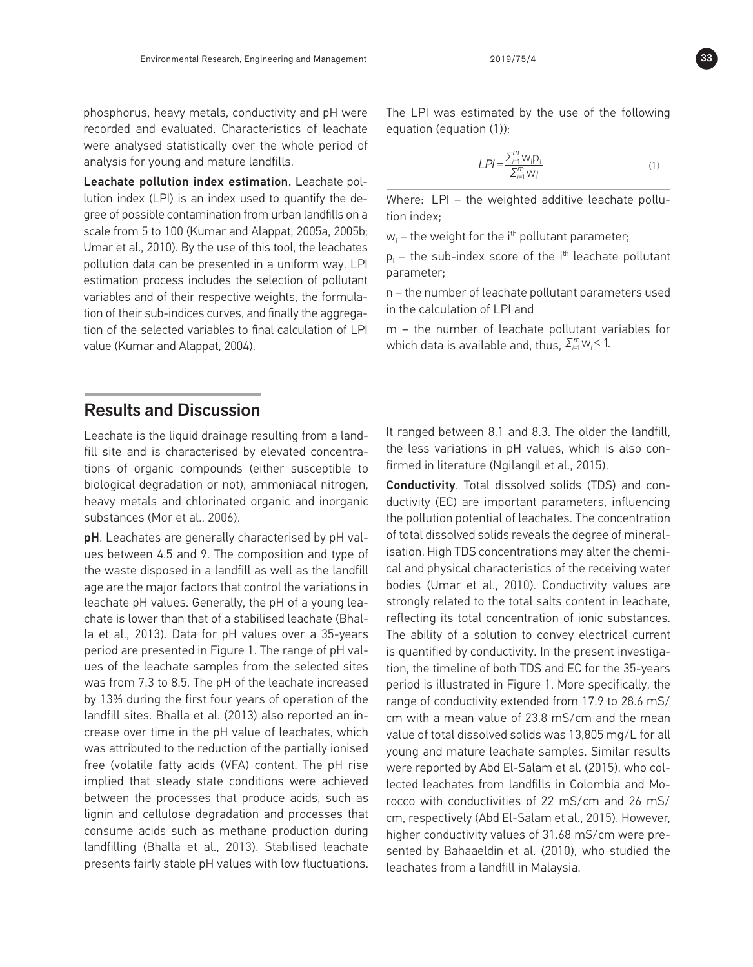phosphorus, heavy metals, conductivity and pH were recorded and evaluated. Characteristics of leachate were analysed statistically over the whole period of analysis for young and mature landfills.

Leachate pollution index estimation. Leachate pollution index (LPI) is an index used to quantify the degree of possible contamination from urban landfills on a scale from 5 to 100 (Kumar and Alappat, 2005a, 2005b; Umar et al., 2010). By the use of this tool, the leachates pollution data can be presented in a uniform way. LPI estimation process includes the selection of pollutant variables and of their respective weights, the formulation of their sub-indices curves, and finally the aggregation of the selected variables to final calculation of LPI value (Kumar and Alappat, 2004).

#### The LPI was estimated by the use of the following equation (equation (1)):

$$
LPI = \frac{\sum_{i=1}^{m} W_i D_i}{\sum_{i=1}^{m} W_i} \tag{1}
$$

Where: LPI – the weighted additive leachate pollution index;

 $w_i$  – the weight for the i<sup>th</sup> pollutant parameter;

 $p_i$  – the sub-index score of the i<sup>th</sup> leachate pollutant parameter;

n – the number of leachate pollutant parameters used in the calculation of LPI and

m – the number of leachate pollutant variables for which data is available and, thus,  $\Sigma_{i=1}^{m}$  w<sub>i</sub> < 1.

### Results and Discussion

Leachate is the liquid drainage resulting from a landfill site and is characterised by elevated concentrations of organic compounds (either susceptible to biological degradation or not), ammoniacal nitrogen, heavy metals and chlorinated organic and inorganic substances (Mor et al., 2006).

pH. Leachates are generally characterised by pH values between 4.5 and 9. The composition and type of the waste disposed in a landfill as well as the landfill age are the major factors that control the variations in leachate pH values. Generally, the pH of a young leachate is lower than that of a stabilised leachate (Bhalla et al., 2013). Data for pH values over a 35-years period are presented in Figure 1. The range of pH values of the leachate samples from the selected sites was from 7.3 to 8.5. The pH of the leachate increased by 13% during the first four years of operation of the landfill sites. Bhalla et al. (2013) also reported an increase over time in the pH value of leachates, which was attributed to the reduction of the partially ionised free (volatile fatty acids (VFA) content. The pH rise implied that steady state conditions were achieved between the processes that produce acids, such as lignin and cellulose degradation and processes that consume acids such as methane production during landfilling (Bhalla et al., 2013). Stabilised leachate presents fairly stable pH values with low fluctuations.

It ranged between 8.1 and 8.3. The older the landfill, the less variations in pH values, which is also confirmed in literature (Ngilangil et al., 2015).

Conductivity. Total dissolved solids (TDS) and conductivity (EC) are important parameters, influencing the pollution potential of leachates. The concentration of total dissolved solids reveals the degree of mineralisation. High TDS concentrations may alter the chemical and physical characteristics of the receiving water bodies (Umar et al., 2010). Conductivity values are strongly related to the total salts content in leachate, reflecting its total concentration of ionic substances. The ability of a solution to convey electrical current is quantified by conductivity. In the present investigation, the timeline of both TDS and EC for the 35-years period is illustrated in Figure 1. More specifically, the range of conductivity extended from 17.9 to 28.6 mS/ cm with a mean value of 23.8 mS/cm and the mean value of total dissolved solids was 13,805 mg/L for all young and mature leachate samples. Similar results were reported by Abd El-Salam et al. (2015), who collected leachates from landfills in Colombia and Morocco with conductivities of 22 mS/cm and 26 mS/ cm, respectively (Abd El-Salam et al., 2015). However, higher conductivity values of 31.68 mS/cm were presented by Bahaaeldin et al. (2010), who studied the leachates from a landfill in Malaysia.

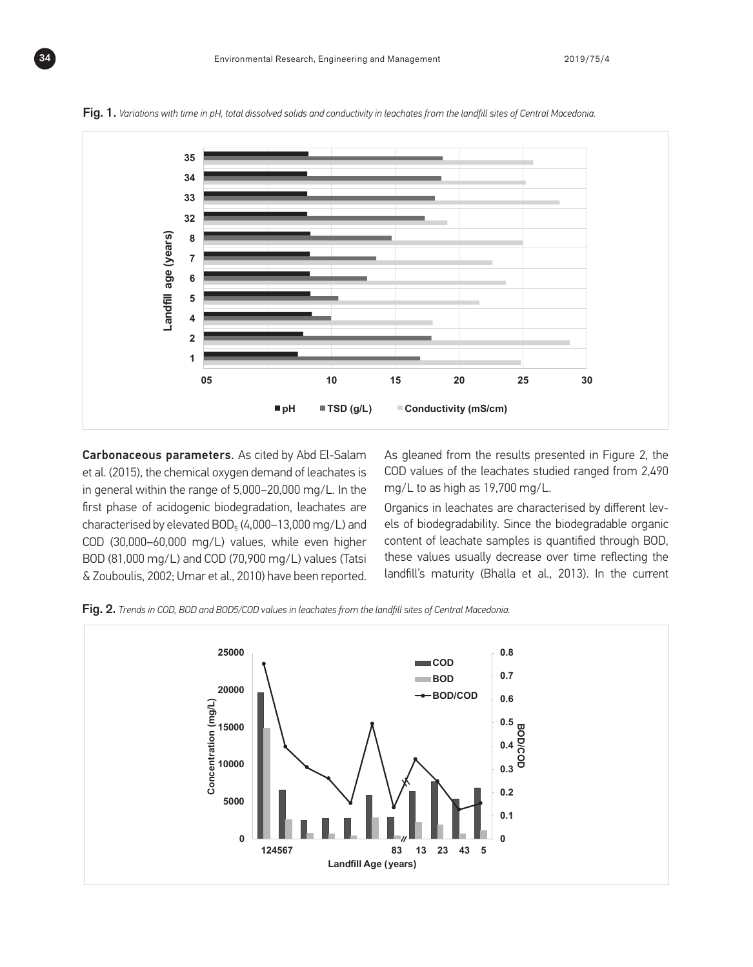

Fig. 1. *Variations with time in pH, total dissolved solids and conductivity in leachates from the landfill sites of Central Macedonia.* 

Carbonaceous parameters. As cited by Abd El-Salam et al. (2015), the chemical oxygen demand of leachates is in general within the range of 5,000–20,000 mg/L. In the first phase of acidogenic biodegradation, leachates are characterised by elevated  $BOD<sub>5</sub>$  (4,000–13,000 mg/L) and COD (30,000–60,000 mg/L) values, while even higher BOD (81,000 mg/L) and COD (70,900 mg/L) values (Tatsi & Zouboulis, 2002; Umar et al., 2010) have been reported.

As gleaned from the results presented in Figure 2, the COD values of the leachates studied ranged from 2,490 mg/L to as high as 19,700 mg/L.

Organics in leachates are characterised by different levels of biodegradability. Since the biodegradable organic content of leachate samples is quantified through BOD, these values usually decrease over time reflecting the landfill's maturity (Bhalla et al., 2013). In the current

Fig. 2. *Trends in COD, BOD and BOD5/COD values in leachates from the landfill sites of Central Macedonia.*

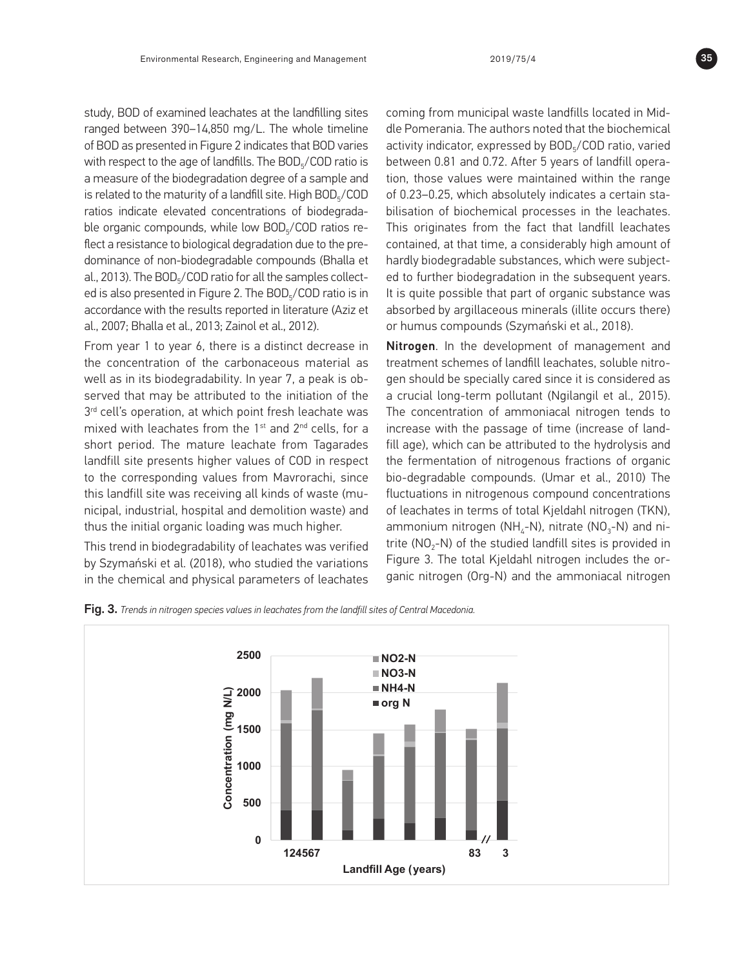study, BOD of examined leachates at the landfilling sites ranged between 390–14,850 mg/L. The whole timeline of BOD as presented in Figure 2 indicates that BOD varies with respect to the age of landfills. The BOD<sub>5</sub>/COD ratio is a measure of the biodegradation degree of a sample and is related to the maturity of a landfill site. High  $BOD<sub>5</sub>/COD$ ratios indicate elevated concentrations of biodegradable organic compounds, while low BOD<sub>5</sub>/COD ratios reflect a resistance to biological degradation due to the predominance of non-biodegradable compounds (Bhalla et al., 2013). The BOD<sub>5</sub>/COD ratio for all the samples collected is also presented in Figure 2. The BOD<sub>5</sub>/COD ratio is in accordance with the results reported in literature (Aziz et al., 2007; Bhalla et al., 2013; Zainol et al., 2012).

From year 1 to year 6, there is a distinct decrease in the concentration of the carbonaceous material as well as in its biodegradability. In year 7, a peak is observed that may be attributed to the initiation of the 3<sup>rd</sup> cell's operation, at which point fresh leachate was mixed with leachates from the 1st and 2nd cells, for a short period. The mature leachate from Tagarades landfill site presents higher values of COD in respect to the corresponding values from Mavrorachi, since this landfill site was receiving all kinds of waste (municipal, industrial, hospital and demolition waste) and thus the initial organic loading was much higher.

This trend in biodegradability of leachates was verified by Szymański et al. (2018), who studied the variations in the chemical and physical parameters of leachates coming from municipal waste landfills located in Middle Pomerania. The authors noted that the biochemical activity indicator, expressed by BOD<sub>5</sub>/COD ratio, varied between 0.81 and 0.72. After 5 years of landfill operation, those values were maintained within the range of 0.23–0.25, which absolutely indicates a certain stabilisation of biochemical processes in the leachates. This originates from the fact that landfill leachates contained, at that time, a considerably high amount of hardly biodegradable substances, which were subjected to further biodegradation in the subsequent years. It is quite possible that part of organic substance was absorbed by argillaceous minerals (illite occurs there) or humus compounds (Szymański et al., 2018).

Nitrogen. In the development of management and treatment schemes of landfill leachates, soluble nitrogen should be specially cared since it is considered as a crucial long-term pollutant (Ngilangil et al., 2015). The concentration of ammoniacal nitrogen tends to increase with the passage of time (increase of landfill age), which can be attributed to the hydrolysis and the fermentation of nitrogenous fractions of organic bio-degradable compounds. (Umar et al., 2010) The fluctuations in nitrogenous compound concentrations of leachates in terms of total Kjeldahl nitrogen (TKN), ammonium nitrogen (NH<sub>4</sub>-N), nitrate (NO<sub>3</sub>-N) and nitrite ( $NO<sub>2</sub>-N$ ) of the studied landfill sites is provided in Figure 3. The total Kjeldahl nitrogen includes the organic nitrogen (Org-N) and the ammoniacal nitrogen





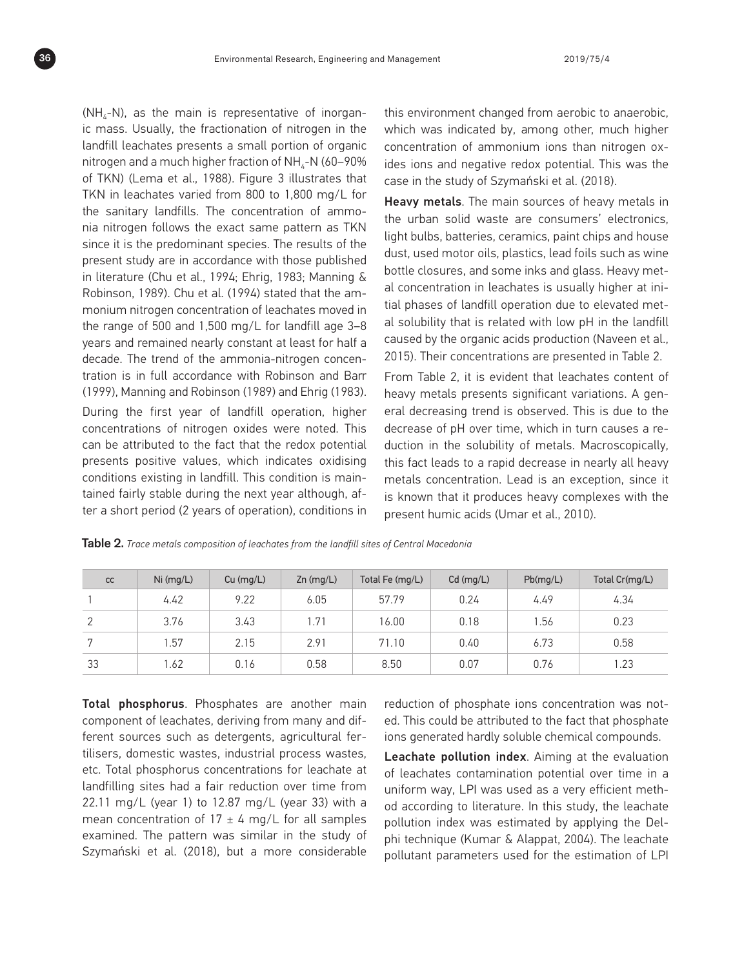$(NH<sub>4</sub>-N)$ , as the main is representative of inorganic mass. Usually, the fractionation of nitrogen in the landfill leachates presents a small portion of organic nitrogen and a much higher fraction of  $NH<sub>4</sub>-N$  (60–90%) of TKN) (Lema et al., 1988). Figure 3 illustrates that TKN in leachates varied from 800 to 1,800 mg/L for the sanitary landfills. The concentration of ammonia nitrogen follows the exact same pattern as TKN since it is the predominant species. The results of the present study are in accordance with those published in literature (Chu et al., 1994; Ehrig, 1983; Manning & Robinson, 1989). Chu et al. (1994) stated that the ammonium nitrogen concentration of leachates moved in the range of 500 and 1,500 mg/L for landfill age 3–8 years and remained nearly constant at least for half a decade. The trend of the ammonia-nitrogen concentration is in full accordance with Robinson and Barr (1999), Manning and Robinson (1989) and Ehrig (1983). During the first year of landfill operation, higher

concentrations of nitrogen oxides were noted. This can be attributed to the fact that the redox potential presents positive values, which indicates oxidising conditions existing in landfill. This condition is maintained fairly stable during the next year although, after a short period (2 years of operation), conditions in this environment changed from aerobic to anaerobic, which was indicated by, among other, much higher concentration of ammonium ions than nitrogen oxides ions and negative redox potential. This was the case in the study of Szymański et al. (2018).

Heavy metals. The main sources of heavy metals in the urban solid waste are consumers' electronics, light bulbs, batteries, ceramics, paint chips and house dust, used motor oils, plastics, lead foils such as wine bottle closures, and some inks and glass. Heavy metal concentration in leachates is usually higher at initial phases of landfill operation due to elevated metal solubility that is related with low pH in the landfill caused by the organic acids production (Naveen et al., 2015). Their concentrations are presented in Table 2.

From Table 2, it is evident that leachates content of heavy metals presents significant variations. A general decreasing trend is observed. This is due to the decrease of pH over time, which in turn causes a reduction in the solubility of metals. Macroscopically, this fact leads to a rapid decrease in nearly all heavy metals concentration. Lead is an exception, since it is known that it produces heavy complexes with the present humic acids (Umar et al., 2010).

| cc             | $Ni$ (mg/L) | $Cu$ (mg/L) | $Zn$ (mg/L) | Total Fe (mg/L) | $Cd$ (mg/L) | Pb(mq/L) | Total Cr(mg/L) |
|----------------|-------------|-------------|-------------|-----------------|-------------|----------|----------------|
|                | 4.42        | 9.22        | 6.05        | 57.79           | 0.24        | 4.49     | 4.34           |
|                | 3.76        | 3.43        | .71         | 16.00           | 0.18        | 1.56     | 0.23           |
| $\overline{ }$ | .57         | 2.15        | 2.91        | 71.10           | 0.40        | 6.73     | 0.58           |
| 33             | .62         | 0.16        | 0.58        | 8.50            | 0.07        | 0.76     | 1.23           |

Table 2. *Trace metals composition of leachates from the landfill sites of Central Macedonia*

Total phosphorus. Phosphates are another main component of leachates, deriving from many and different sources such as detergents, agricultural fertilisers, domestic wastes, industrial process wastes, etc. Total phosphorus concentrations for leachate at landfilling sites had a fair reduction over time from 22.11 mg/L (year 1) to 12.87 mg/L (year 33) with a mean concentration of  $17 \pm 4$  mg/L for all samples examined. The pattern was similar in the study of Szymański et al. (2018), but a more considerable reduction of phosphate ions concentration was noted. This could be attributed to the fact that phosphate ions generated hardly soluble chemical compounds.

Leachate pollution index. Aiming at the evaluation of leachates contamination potential over time in a uniform way, LPI was used as a very efficient method according to literature. In this study, the leachate pollution index was estimated by applying the Delphi technique (Kumar & Alappat, 2004). The leachate pollutant parameters used for the estimation of LPI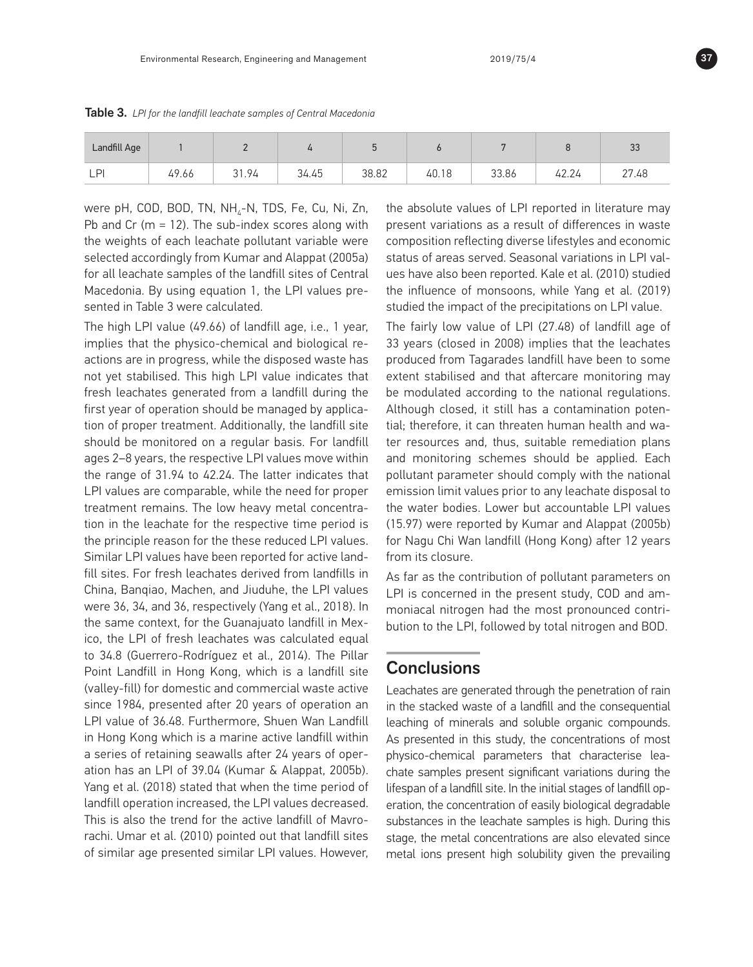| Landfill Age        |       |       |                            |       |       |       |              | $\sim$<br>ູບບ |
|---------------------|-------|-------|----------------------------|-------|-------|-------|--------------|---------------|
| $\mathsf{D}$<br>— 1 | 49.66 | 31.94 | $\epsilon$ $\sim$<br>34.45 | 38.82 | 40.18 | 33.86 | 101<br>42.Z4 | 27.48         |

Table 3. *LPI for the landfill leachate samples of Central Macedonia*

were pH, COD, BOD, TN, NH<sub>4</sub>-N, TDS, Fe, Cu, Ni, Zn, Pb and Cr ( $m = 12$ ). The sub-index scores along with the weights of each leachate pollutant variable were selected accordingly from Kumar and Alappat (2005a) for all leachate samples of the landfill sites of Central Macedonia. By using equation 1, the LPI values presented in Table 3 were calculated.

The high LPI value (49.66) of landfill age, i.e., 1 year, implies that the physico-chemical and biological reactions are in progress, while the disposed waste has not yet stabilised. This high LPI value indicates that fresh leachates generated from a landfill during the first year of operation should be managed by application of proper treatment. Additionally, the landfill site should be monitored on a regular basis. For landfill ages 2–8 years, the respective LPI values move within the range of 31.94 to 42.24. The latter indicates that LPI values are comparable, while the need for proper treatment remains. The low heavy metal concentration in the leachate for the respective time period is the principle reason for the these reduced LPI values. Similar LPI values have been reported for active landfill sites. For fresh leachates derived from landfills in China, Banqiao, Machen, and Jiuduhe, the LPI values were 36, 34, and 36, respectively (Yang et al., 2018). In the same context, for the Guanajuato landfill in Mexico, the LPI of fresh leachates was calculated equal to 34.8 (Guerrero-Rodríguez et al., 2014). The Pillar Point Landfill in Hong Kong, which is a landfill site (valley-fill) for domestic and commercial waste active since 1984, presented after 20 years of operation an LPI value of 36.48. Furthermore, Shuen Wan Landfill in Hong Kong which is a marine active landfill within a series of retaining seawalls after 24 years of operation has an LPI of 39.04 (Kumar & Alappat, 2005b). Yang et al. (2018) stated that when the time period of landfill operation increased, the LPI values decreased. This is also the trend for the active landfill of Mavrorachi. Umar et al. (2010) pointed out that landfill sites of similar age presented similar LPI values. However, the absolute values of LPI reported in literature may present variations as a result of differences in waste composition reflecting diverse lifestyles and economic status of areas served. Seasonal variations in LPI values have also been reported. Kale et al. (2010) studied the influence of monsoons, while Yang et al. (2019) studied the impact of the precipitations on LPI value.

The fairly low value of LPI (27.48) of landfill age of 33 years (closed in 2008) implies that the leachates produced from Tagarades landfill have been to some extent stabilised and that aftercare monitoring may be modulated according to the national regulations. Although closed, it still has a contamination potential; therefore, it can threaten human health and water resources and, thus, suitable remediation plans and monitoring schemes should be applied. Each pollutant parameter should comply with the national emission limit values prior to any leachate disposal to the water bodies. Lower but accountable LPI values (15.97) were reported by Kumar and Alappat (2005b) for Nagu Chi Wan landfill (Hong Kong) after 12 years from its closure.

As far as the contribution of pollutant parameters on LPI is concerned in the present study, COD and ammoniacal nitrogen had the most pronounced contribution to the LPI, followed by total nitrogen and BOD.

#### **Conclusions**

Leachates are generated through the penetration of rain in the stacked waste of a landfill and the consequential leaching of minerals and soluble organic compounds. As presented in this study, the concentrations of most physico-chemical parameters that characterise leachate samples present significant variations during the lifespan of a landfill site. In the initial stages of landfill operation, the concentration of easily biological degradable substances in the leachate samples is high. During this stage, the metal concentrations are also elevated since metal ions present high solubility given the prevailing

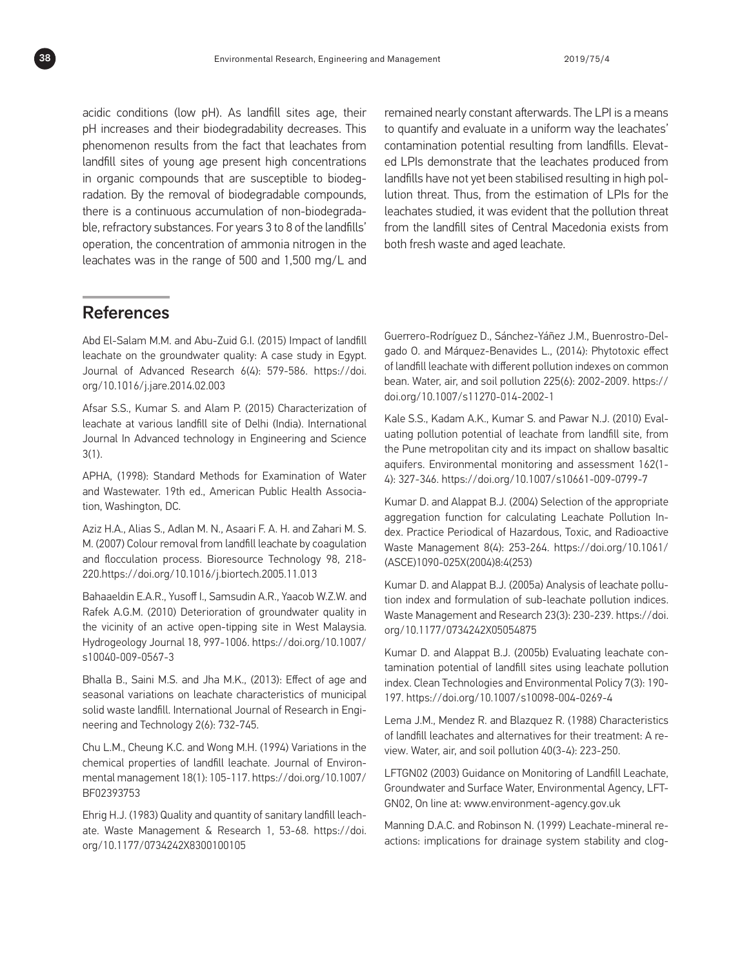acidic conditions (low pH). As landfill sites age, their pH increases and their biodegradability decreases. This phenomenon results from the fact that leachates from landfill sites of young age present high concentrations in organic compounds that are susceptible to biodegradation. By the removal of biodegradable compounds, there is a continuous accumulation of non-biodegradable, refractory substances. For years 3 to 8 of the landfills' operation, the concentration of ammonia nitrogen in the leachates was in the range of 500 and 1,500 mg/L and remained nearly constant afterwards. The LPI is a means to quantify and evaluate in a uniform way the leachates' contamination potential resulting from landfills. Elevated LPIs demonstrate that the leachates produced from landfills have not yet been stabilised resulting in high pollution threat. Thus, from the estimation of LPIs for the leachates studied, it was evident that the pollution threat from the landfill sites of Central Macedonia exists from both fresh waste and aged leachate.

# References

Abd El-Salam M.M. and Abu-Zuid G.I. (2015) Impact of landfill leachate on the groundwater quality: A case study in Egypt. Journal of Advanced Research 6(4): 579-586. https://doi. org/10.1016/j.jare.2014.02.003

Afsar S.S., Kumar S. and Alam P. (2015) Characterization of leachate at various landfill site of Delhi (India). International Journal In Advanced technology in Engineering and Science 3(1).

APHA, (1998): Standard Methods for Examination of Water and Wastewater. 19th ed., American Public Health Association, Washington, DC.

Aziz H.A., Alias S., Adlan M. N., Asaari F. A. H. and Zahari M. S. M. (2007) Colour removal from landfill leachate by coagulation and flocculation process. Bioresource Technology 98, 218- 220.https://doi.org/10.1016/j.biortech.2005.11.013

Bahaaeldin E.A.R., Yusoff I., Samsudin A.R., Yaacob W.Z.W. and Rafek A.G.M. (2010) Deterioration of groundwater quality in the vicinity of an active open-tipping site in West Malaysia. Hydrogeology Journal 18, 997-1006. https://doi.org/10.1007/ s10040-009-0567-3

Bhalla B., Saini M.S. and Jha M.K., (2013): Effect of age and seasonal variations on leachate characteristics of municipal solid waste landfill. International Journal of Research in Engineering and Technology 2(6): 732-745.

Chu L.M., Cheung K.C. and Wong M.H. (1994) Variations in the chemical properties of landfill leachate. Journal of Environmental management 18(1): 105-117. https://doi.org/10.1007/ BF02393753

Ehrig H.J. (1983) Quality and quantity of sanitary landfill leachate. Waste Management & Research 1, 53-68. https://doi. org/10.1177/0734242X8300100105

Guerrero-Rodríguez D., Sánchez-Yáñez J.M., Buenrostro-Delgado O. and Márquez-Benavides L., (2014): Phytotoxic effect of landfill leachate with different pollution indexes on common bean. Water, air, and soil pollution 225(6): 2002-2009. https:// doi.org/10.1007/s11270-014-2002-1

Kale S.S., Kadam A.K., Kumar S. and Pawar N.J. (2010) Evaluating pollution potential of leachate from landfill site, from the Pune metropolitan city and its impact on shallow basaltic aquifers. Environmental monitoring and assessment 162(1- 4): 327-346. https://doi.org/10.1007/s10661-009-0799-7

Kumar D. and Alappat B.J. (2004) Selection of the appropriate aggregation function for calculating Leachate Pollution Index. Practice Periodical of Hazardous, Toxic, and Radioactive Waste Management 8(4): 253-264. https://doi.org/10.1061/ (ASCE)1090-025X(2004)8:4(253)

Kumar D. and Alappat B.J. (2005a) Analysis of leachate pollution index and formulation of sub-leachate pollution indices. Waste Management and Research 23(3): 230-239. https://doi. org/10.1177/0734242X05054875

Kumar D. and Alappat B.J. (2005b) Evaluating leachate contamination potential of landfill sites using leachate pollution index. Clean Technologies and Environmental Policy 7(3): 190- 197. https://doi.org/10.1007/s10098-004-0269-4

Lema J.M., Mendez R. and Blazquez R. (1988) Characteristics of landfill leachates and alternatives for their treatment: A review. Water, air, and soil pollution 40(3-4): 223-250.

LFTGN02 (2003) Guidance on Monitoring of Landfill Leachate, Groundwater and Surface Water, Environmental Agency, LFT-GN02, On line at: www.environment-agency.gov.uk

Manning D.A.C. and Robinson N. (1999) Leachate-mineral reactions: implications for drainage system stability and clog-